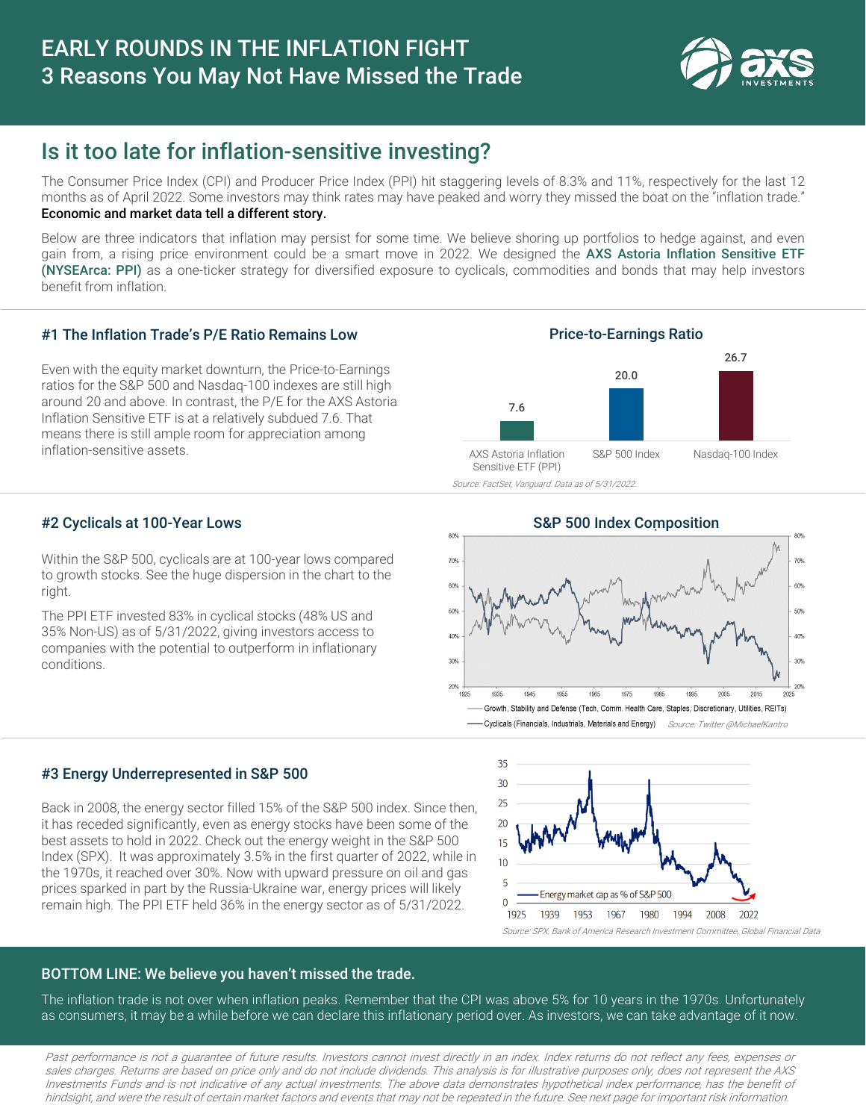

# Is it too late for inflation-sensitive investing?

The Consumer Price Index (CPI) and Producer Price Index (PPI) hit staggering levels of 8.3% and 11%, respectively for the last 12 months as of April 2022. Some investors may think rates may have peaked and worry they missed the boat on the "inflation trade." Economic and market data tell a different story.

Below are three indicators that inflation may persist for some time. We believe shoring up portfolios to hedge against, and even gain from, a rising price environment could be a smart move in 2022. We designed the AXS Astoria Inflation Sensitive ETF (NYSEArca: PPI) as a one-ticker strategy for diversified exposure to cyclicals, commodities and bonds that may help investors benefit from inflation.

## #1 The Inflation Trade's P/E Ratio Remains Low

Even with the equity market downturn, the Price-to-Earnings ratios for the S&P 500 and Nasdaq-100 indexes are still high around 20 and above. In contrast, the P/E for the AXS Astoria Inflation Sensitive ETF is at a relatively subdued 7.6. That means there is still ample room for appreciation among inflation-sensitive assets.



Source: FactSet, Vanguard. Data as of 5/31/2022.

## #2 Cyclicals at 100-Year Lows

Within the S&P 500, cyclicals are at 100-year lows compared to growth stocks. See the huge dispersion in the chart to the right.

The PPI ETF invested 83% in cyclical stocks (48% US and 35% Non-US) as of 5/31/2022, giving investors access to companies with the potential to outperform in inflationary conditions.



### #3 Energy Underrepresented in S&P 500

Back in 2008, the energy sector filled 15% of the S&P 500 index. Since then, it has receded significantly, even as energy stocks have been some of the best assets to hold in 2022. Check out the energy weight in the S&P 500 Index (SPX). It was approximately 3.5% in the first quarter of 2022, while in the 1970s, it reached over 30%. Now with upward pressure on oil and gas prices sparked in part by the Russia-Ukraine war, energy prices will likely remain high. The PPI ETF held 36% in the energy sector as of 5/31/2022.



## BOTTOM LINE: We believe you haven't missed the trade.

The inflation trade is not over when inflation peaks. Remember that the CPI was above 5% for 10 years in the 1970s. Unfortunately as consumers, it may be a while before we can declare this inflationary period over. As investors, we can take advantage of it now.

Past performance is not <sup>a</sup> guarantee of future results. Investors cannot invest directly in an index. Index returns do not reflect any fees, expenses or sales charges. Returns are based on price only and do not include dividends. This analysis is for illustrative purposes only, does not represent the AXS Investments Funds and is not indicative of any actual investments. The above data demonstrates hypothetical index performance, has the benefit of hindsight, and were the result of certain market factors and events that may not be repeated in the future. See next page for important risk information.